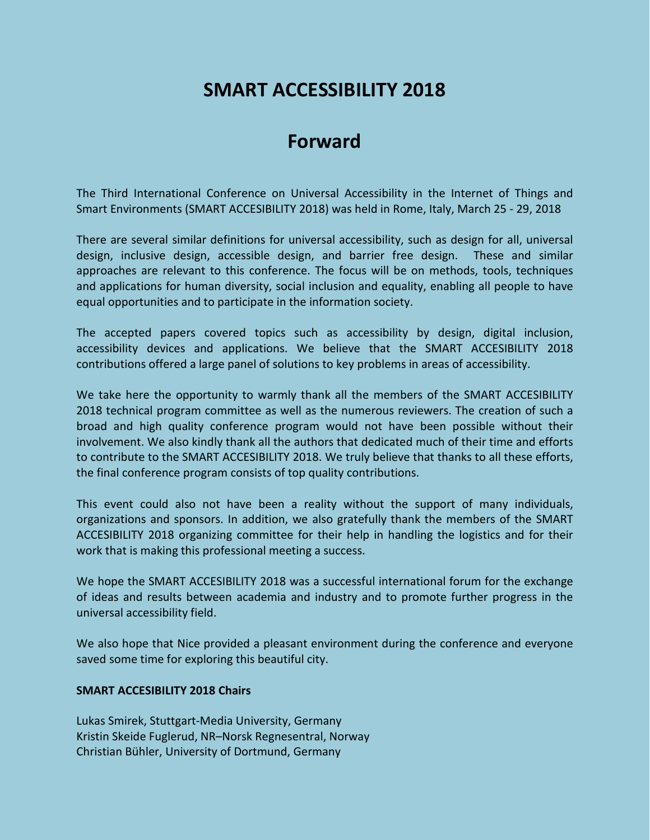## **SMART ACCESSIBILITY 2018**

## **Forward**

The Third International Conference on Universal Accessibility in the Internet of Things and Smart Environments (SMART ACCESIBILITY 2018) was held in Rome, Italy, March 25 - 29, 2018

There are several similar definitions for universal accessibility, such as design for all, universal design, inclusive design, accessible design, and barrier free design. These and similar approaches are relevant to this conference. The focus will be on methods, tools, techniques and applications for human diversity, social inclusion and equality, enabling all people to have equal opportunities and to participate in the information society.

The accepted papers covered topics such as accessibility by design, digital inclusion, accessibility devices and applications. We believe that the SMART ACCESIBILITY 2018 contributions offered a large panel of solutions to key problems in areas of accessibility.

We take here the opportunity to warmly thank all the members of the SMART ACCESIBILITY 2018 technical program committee as well as the numerous reviewers. The creation of such a broad and high quality conference program would not have been possible without their involvement. We also kindly thank all the authors that dedicated much of their time and efforts to contribute to the SMART ACCESIBILITY 2018. We truly believe that thanks to all these efforts, the final conference program consists of top quality contributions.

This event could also not have been a reality without the support of many individuals, organizations and sponsors. In addition, we also gratefully thank the members of the SMART ACCESIBILITY 2018 organizing committee for their help in handling the logistics and for their work that is making this professional meeting a success.

We hope the SMART ACCESIBILITY 2018 was a successful international forum for the exchange of ideas and results between academia and industry and to promote further progress in the universal accessibility field.

We also hope that Nice provided a pleasant environment during the conference and everyone saved some time for exploring this beautiful city.

## **SMART ACCESIBILITY 2018 Chairs**

Lukas Smirek, Stuttgart-Media University, Germany Kristin Skeide Fuglerud, NR–Norsk Regnesentral, Norway Christian Bühler, University of Dortmund, Germany